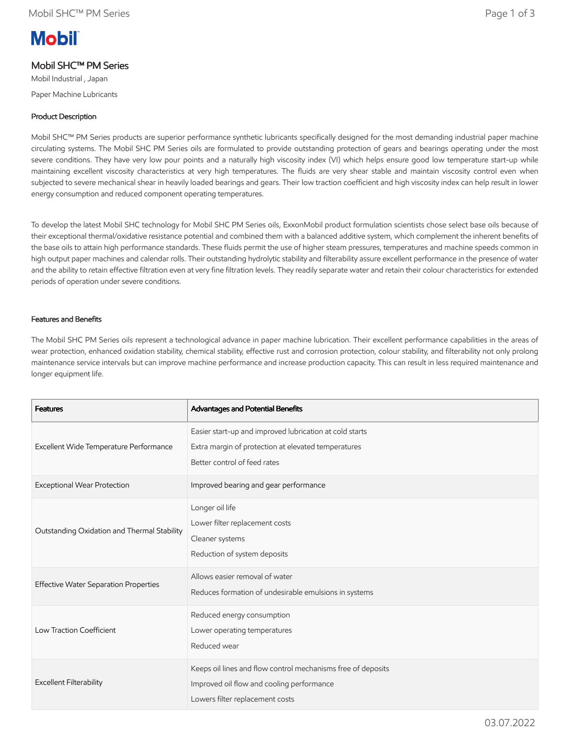# **Mobil**

# Mobil SHC™ PM Series

Mobil Industrial , Japan Paper Machine Lubricants

# Product Description

Mobil SHC™ PM Series products are superior performance synthetic lubricants specifically designed for the most demanding industrial paper machine circulating systems. The Mobil SHC PM Series oils are formulated to provide outstanding protection of gears and bearings operating under the most severe conditions. They have very low pour points and a naturally high viscosity index (VI) which helps ensure good low temperature start-up while maintaining excellent viscosity characteristics at very high temperatures. The fluids are very shear stable and maintain viscosity control even when subjected to severe mechanical shear in heavily loaded bearings and gears. Their low traction coefficient and high viscosity index can help result in lower energy consumption and reduced component operating temperatures.

To develop the latest Mobil SHC technology for Mobil SHC PM Series oils, ExxonMobil product formulation scientists chose select base oils because of their exceptional thermal/oxidative resistance potential and combined them with a balanced additive system, which complement the inherent benefits of the base oils to attain high performance standards. These fluids permit the use of higher steam pressures, temperatures and machine speeds common in high output paper machines and calendar rolls. Their outstanding hydrolytic stability and filterability assure excellent performance in the presence of water and the ability to retain effective filtration even at very fine filtration levels. They readily separate water and retain their colour characteristics for extended periods of operation under severe conditions.

## Features and Benefits

The Mobil SHC PM Series oils represent a technological advance in paper machine lubrication. Their excellent performance capabilities in the areas of wear protection, enhanced oxidation stability, chemical stability, effective rust and corrosion protection, colour stability, and filterability not only prolong maintenance service intervals but can improve machine performance and increase production capacity. This can result in less required maintenance and longer equipment life.

| <b>Features</b>                              | Advantages and Potential Benefits                                                                                                              |
|----------------------------------------------|------------------------------------------------------------------------------------------------------------------------------------------------|
| Excellent Wide Temperature Performance       | Easier start-up and improved lubrication at cold starts<br>Extra margin of protection at elevated temperatures<br>Better control of feed rates |
| Exceptional Wear Protection                  | Improved bearing and gear performance                                                                                                          |
| Outstanding Oxidation and Thermal Stability  | Longer oil life<br>Lower filter replacement costs<br>Cleaner systems<br>Reduction of system deposits                                           |
| <b>Effective Water Separation Properties</b> | Allows easier removal of water<br>Reduces formation of undesirable emulsions in systems                                                        |
| Low Traction Coefficient                     | Reduced energy consumption<br>Lower operating temperatures<br>Reduced wear                                                                     |
| <b>Excellent Filterability</b>               | Keeps oil lines and flow control mechanisms free of deposits<br>Improved oil flow and cooling performance<br>Lowers filter replacement costs   |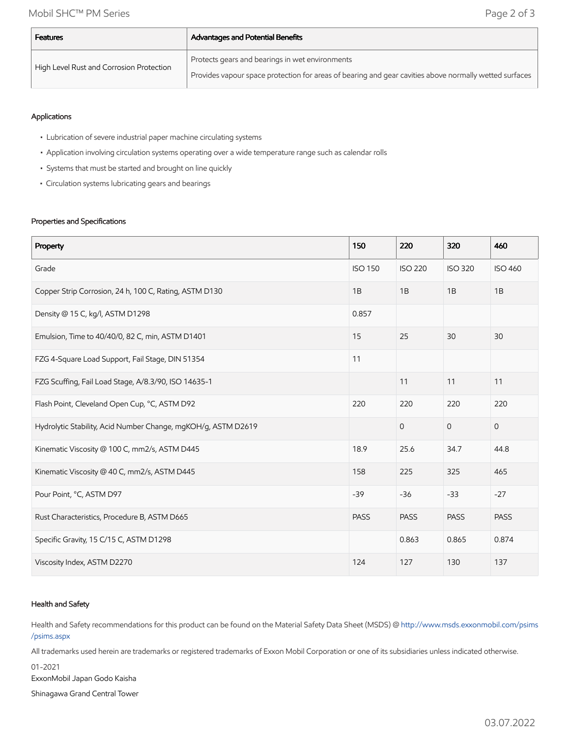| <b>Features</b>                          | <b>Advantages and Potential Benefits</b>                                                               |  |  |  |
|------------------------------------------|--------------------------------------------------------------------------------------------------------|--|--|--|
| High Level Rust and Corrosion Protection | Protects gears and bearings in wet environments                                                        |  |  |  |
|                                          | Provides vapour space protection for areas of bearing and gear cavities above normally wetted surfaces |  |  |  |

## Applications

- Lubrication of severe industrial paper machine circulating systems
- Application involving circulation systems operating over a wide temperature range such as calendar rolls
- Systems that must be started and brought on line quickly
- Circulation systems lubricating gears and bearings

### Properties and Specifications

| Property                                                      | 150            | 220            | 320            | 460            |
|---------------------------------------------------------------|----------------|----------------|----------------|----------------|
| Grade                                                         | <b>ISO 150</b> | <b>ISO 220</b> | <b>ISO 320</b> | <b>ISO 460</b> |
| Copper Strip Corrosion, 24 h, 100 C, Rating, ASTM D130        | 1B             | 1B             | 1B             | 1B             |
| Density @ 15 C, kg/l, ASTM D1298                              | 0.857          |                |                |                |
| Emulsion, Time to 40/40/0, 82 C, min, ASTM D1401              | 15             | 25             | 30             | 30             |
| FZG 4-Square Load Support, Fail Stage, DIN 51354              | 11             |                |                |                |
| FZG Scuffing, Fail Load Stage, A/8.3/90, ISO 14635-1          |                | 11             | 11             | 11             |
| Flash Point, Cleveland Open Cup, °C, ASTM D92                 | 220            | 220            | 220            | 220            |
| Hydrolytic Stability, Acid Number Change, mgKOH/g, ASTM D2619 |                | $\overline{0}$ | $\mathbf{O}$   | $\mathbf 0$    |
| Kinematic Viscosity @ 100 C, mm2/s, ASTM D445                 | 18.9           | 25.6           | 34.7           | 44.8           |
| Kinematic Viscosity @ 40 C, mm2/s, ASTM D445                  | 158            | 225            | 325            | 465            |
| Pour Point, °C, ASTM D97                                      | $-39$          | $-36$          | $-33$          | $-27$          |
| Rust Characteristics, Procedure B, ASTM D665                  | <b>PASS</b>    | <b>PASS</b>    | <b>PASS</b>    | <b>PASS</b>    |
| Specific Gravity, 15 C/15 C, ASTM D1298                       |                | 0.863          | 0.865          | 0.874          |
| Viscosity Index, ASTM D2270                                   | 124            | 127            | 130            | 137            |

### Health and Safety

Health and Safety recommendations for this product can be found on the Material Safety Data Sheet (MSDS) @ [http://www.msds.exxonmobil.com/psims](http://www.msds.exxonmobil.com/psims/psims.aspx) /psims.aspx

All trademarks used herein are trademarks or registered trademarks of Exxon Mobil Corporation or one of its subsidiaries unless indicated otherwise.

01-2021

ExxonMobil Japan Godo Kaisha

Shinagawa Grand Central Tower